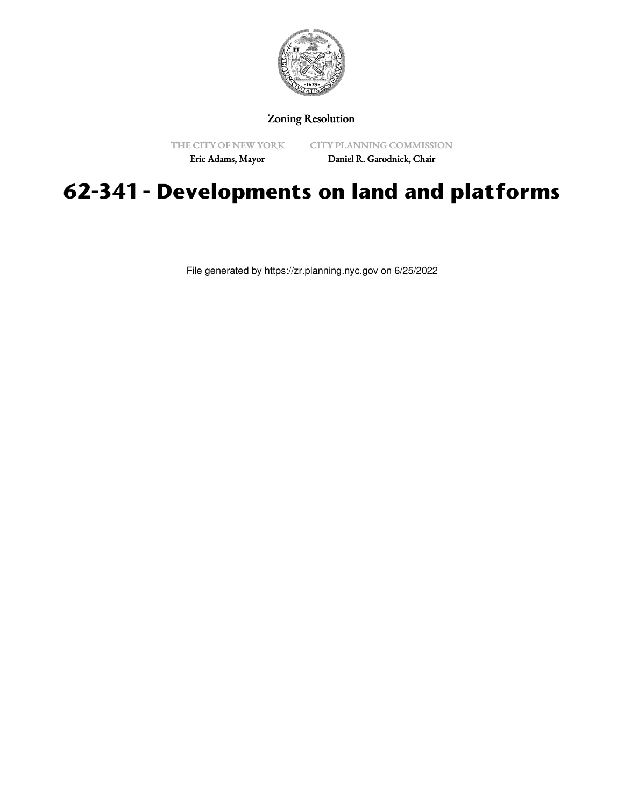

# Zoning Resolution

THE CITY OF NEW YORK Eric Adams, Mayor

CITY PLANNING COMMISSION

Daniel R. Garodnick, Chair

# **62-341 - Developments on land and platforms**

File generated by https://zr.planning.nyc.gov on 6/25/2022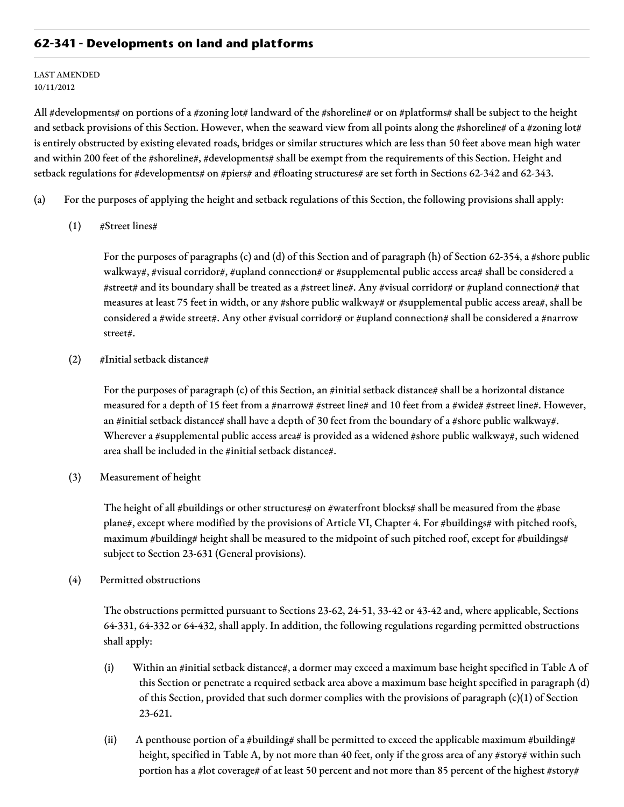# **62-341 - Developments on land and platforms**

#### LAST AMENDED 10/11/2012

All #developments# on portions of a #zoning lot# landward of the #shoreline# or on #platforms# shall be subject to the height and setback provisions of this Section. However, when the seaward view from all points along the #shoreline# of a #zoning lot# is entirely obstructed by existing elevated roads, bridges or similar structures which are less than 50 feet above mean high water and within 200 feet of the #shoreline#, #developments# shall be exempt from the requirements of this Section. Height and setback regulations for #developments# on #piers# and #floating structures# are set forth in Sections 62-342 and 62-343.

- (a) For the purposes of applying the height and setback regulations of this Section, the following provisions shall apply:
	- (1) #Street lines#

For the purposes of paragraphs (c) and (d) of this Section and of paragraph (h) of Section 62-354, a #shore public walkway#, #visual corridor#, #upland connection# or #supplemental public access area# shall be considered a #street# and its boundary shall be treated as a #street line#. Any #visual corridor# or #upland connection# that measures at least 75 feet in width, or any #shore public walkway# or #supplemental public access area#, shall be considered a #wide street#. Any other #visual corridor# or #upland connection# shall be considered a #narrow street#.

(2) #Initial setback distance#

For the purposes of paragraph (c) of this Section, an #initial setback distance# shall be a horizontal distance measured for a depth of 15 feet from a #narrow# #street line# and 10 feet from a #wide# #street line#. However, an #initial setback distance# shall have a depth of 30 feet from the boundary of a #shore public walkway#. Wherever a #supplemental public access area# is provided as a widened #shore public walkway#, such widened area shall be included in the #initial setback distance#.

(3) Measurement of height

The height of all #buildings or other structures# on #waterfront blocks# shall be measured from the #base plane#, except where modified by the provisions of Article VI, Chapter 4. For #buildings# with pitched roofs, maximum #building# height shall be measured to the midpoint of such pitched roof, except for #buildings# subject to Section 23-631 (General provisions).

(4) Permitted obstructions

The obstructions permitted pursuant to Sections 23-62, 24-51, 33-42 or 43-42 and, where applicable, Sections 64-331, 64-332 or 64-432, shall apply. In addition, the following regulations regarding permitted obstructions shall apply:

- (i) Within an #initial setback distance#, a dormer may exceed a maximum base height specified in Table A of this Section or penetrate a required setback area above a maximum base height specified in paragraph (d) of this Section, provided that such dormer complies with the provisions of paragraph (c)(1) of Section 23-621.
- (ii) A penthouse portion of a #building# shall be permitted to exceed the applicable maximum #building# height, specified in Table A, by not more than 40 feet, only if the gross area of any #story# within such portion has a #lot coverage# of at least 50 percent and not more than 85 percent of the highest #story#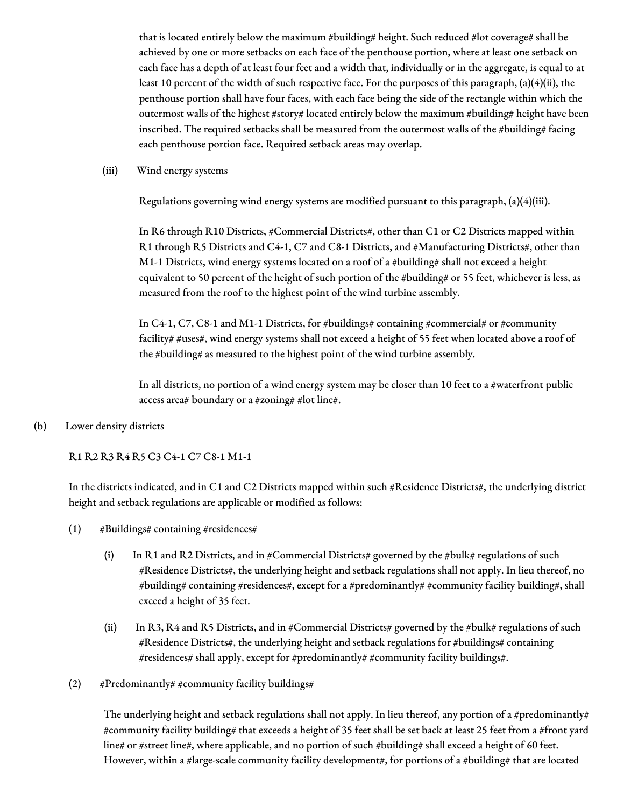that is located entirely below the maximum #building# height. Such reduced #lot coverage# shall be achieved by one or more setbacks on each face of the penthouse portion, where at least one setback on each face has a depth of at least four feet and a width that, individually or in the aggregate, is equal to at least 10 percent of the width of such respective face. For the purposes of this paragraph, (a)(4)(ii), the penthouse portion shall have four faces, with each face being the side of the rectangle within which the outermost walls of the highest #story# located entirely below the maximum #building# height have been inscribed. The required setbacks shall be measured from the outermost walls of the #building# facing each penthouse portion face. Required setback areas may overlap.

#### (iii) Wind energy systems

Regulations governing wind energy systems are modified pursuant to this paragraph, (a)(4)(iii).

In R6 through R10 Districts, #Commercial Districts#, other than C1 or C2 Districts mapped within R1 through R5 Districts and C4-1, C7 and C8-1 Districts, and #Manufacturing Districts#, other than M1-1 Districts, wind energy systems located on a roof of a #building# shall not exceed a height equivalent to 50 percent of the height of such portion of the #building# or 55 feet, whichever is less, as measured from the roof to the highest point of the wind turbine assembly.

In C4-1, C7, C8-1 and M1-1 Districts, for #buildings# containing #commercial# or #community facility# #uses#, wind energy systems shall not exceed a height of 55 feet when located above a roof of the #building# as measured to the highest point of the wind turbine assembly.

In all districts, no portion of a wind energy system may be closer than 10 feet to a #waterfront public access area# boundary or a #zoning# #lot line#.

(b) Lower density districts

#### R1 R2 R3 R4 R5 C3 C4-1 C7 C8-1 M1-1

In the districts indicated, and in C1 and C2 Districts mapped within such #Residence Districts#, the underlying district height and setback regulations are applicable or modified as follows:

- $(1)$  #Buildings# containing #residences#
	- (i) In R1 and R2 Districts, and in #Commercial Districts# governed by the #bulk# regulations of such #Residence Districts#, the underlying height and setback regulations shall not apply. In lieu thereof, no #building# containing #residences#, except for a #predominantly# #community facility building#, shall exceed a height of 35 feet.
	- (ii) In R3, R4 and R5 Districts, and in #Commercial Districts# governed by the #bulk# regulations of such #Residence Districts#, the underlying height and setback regulations for #buildings# containing #residences# shall apply, except for #predominantly# #community facility buildings#.
- (2) #Predominantly# #community facility buildings#

The underlying height and setback regulations shall not apply. In lieu thereof, any portion of a #predominantly# #community facility building# that exceeds a height of 35 feet shall be set back at least 25 feet from a #front yard line# or #street line#, where applicable, and no portion of such #building# shall exceed a height of 60 feet. However, within a #large-scale community facility development#, for portions of a #building# that are located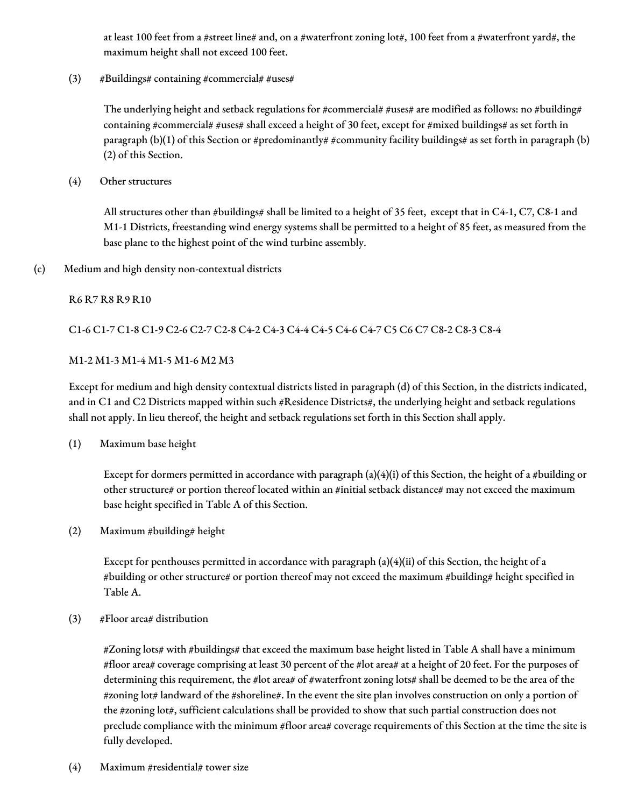at least 100 feet from a #street line# and, on a #waterfront zoning lot#, 100 feet from a #waterfront yard#, the maximum height shall not exceed 100 feet.

(3)  $\#Buildings\# containing \#commercial\#uses\#$ 

The underlying height and setback regulations for #commercial# #uses# are modified as follows: no #building# containing #commercial# #uses# shall exceed a height of 30 feet, except for #mixed buildings# as set forth in paragraph (b)(1) of this Section or #predominantly# #community facility buildings# as set forth in paragraph (b) (2) of this Section.

(4) Other structures

All structures other than #buildings# shall be limited to a height of 35 feet, except that in C4-1, C7, C8-1 and M1-1 Districts, freestanding wind energy systems shall be permitted to a height of 85 feet, as measured from the base plane to the highest point of the wind turbine assembly.

### (c) Medium and high density non-contextual districts

### R6 R7 R8 R9 R10

### C1-6 C1-7 C1-8 C1-9 C2-6 C2-7 C2-8 C4-2 C4-3 C4-4 C4-5 C4-6 C4-7 C5 C6 C7 C8-2 C8-3 C8-4

### M1-2 M1-3 M1-4 M1-5 M1-6 M2 M3

Except for medium and high density contextual districts listed in paragraph (d) of this Section, in the districts indicated, and in C1 and C2 Districts mapped within such #Residence Districts#, the underlying height and setback regulations shall not apply. In lieu thereof, the height and setback regulations set forth in this Section shall apply.

(1) Maximum base height

Except for dormers permitted in accordance with paragraph  $(a)(4)(i)$  of this Section, the height of a #building or other structure# or portion thereof located within an #initial setback distance# may not exceed the maximum base height specified in Table A of this Section.

(2) Maximum #building# height

Except for penthouses permitted in accordance with paragraph (a)(4)(ii) of this Section, the height of a #building or other structure# or portion thereof may not exceed the maximum #building# height specified in Table A.

(3) #Floor area# distribution

#Zoning lots# with #buildings# that exceed the maximum base height listed in Table A shall have a minimum #floor area# coverage comprising at least 30 percent of the #lot area# at a height of 20 feet. For the purposes of determining this requirement, the #lot area# of #waterfront zoning lots# shall be deemed to be the area of the #zoning lot# landward of the #shoreline#. In the event the site plan involves construction on only a portion of the #zoning lot#, sufficient calculations shall be provided to show that such partial construction does not preclude compliance with the minimum #floor area# coverage requirements of this Section at the time the site is fully developed.

(4) Maximum #residential# tower size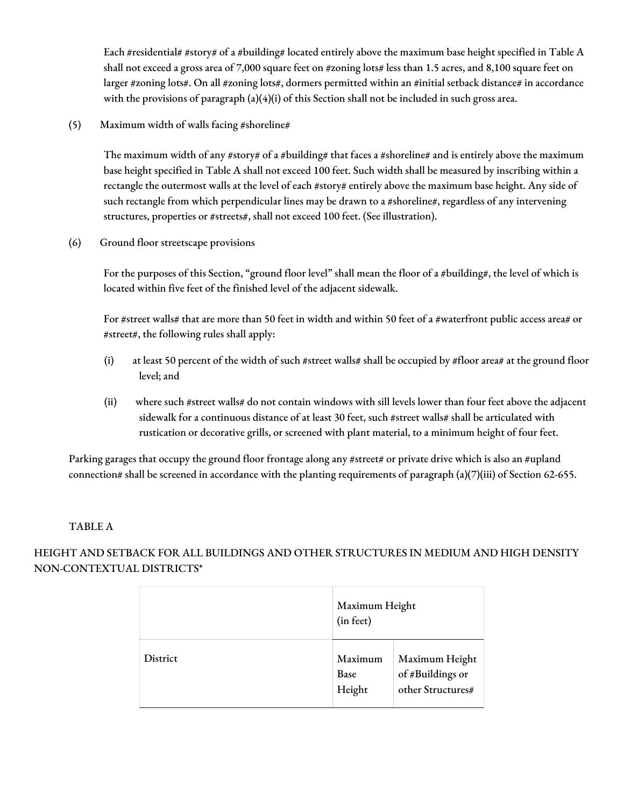Each #residential# #story# of a #building# located entirely above the maximum base height specified in Table A shall not exceed a gross area of 7,000 square feet on #zoning lots# less than 1.5 acres, and 8,100 square feet on larger #zoning lots#. On all #zoning lots#, dormers permitted within an #initial setback distance# in accordance with the provisions of paragraph  $(a)(4)(i)$  of this Section shall not be included in such gross area.

(5) Maximum width of walls facing #shoreline#

The maximum width of any #story# of a #building# that faces a #shoreline# and is entirely above the maximum base height specified in Table A shall not exceed 100 feet. Such width shall be measured by inscribing within a rectangle the outermost walls at the level of each #story# entirely above the maximum base height. Any side of such rectangle from which perpendicular lines may be drawn to a #shoreline#, regardless of any intervening structures, properties or #streets#, shall not exceed 100 feet. (See illustration).

(6) Ground floor streetscape provisions

For the purposes of this Section, "ground floor level" shall mean the floor of a #building#, the level of which is located within five feet of the finished level of the adjacent sidewalk.

For #street walls# that are more than 50 feet in width and within 50 feet of a #waterfront public access area# or #street#, the following rules shall apply:

- (i) at least 50 percent of the width of such #street walls# shall be occupied by #floor area# at the ground floor level; and
- (ii) where such #street walls# do not contain windows with sill levels lower than four feet above the adjacent sidewalk for a continuous distance of at least 30 feet, such #street walls# shall be articulated with rustication or decorative grills, or screened with plant material, to a minimum height of four feet.

Parking garages that occupy the ground floor frontage along any #street# or private drive which is also an #upland connection# shall be screened in accordance with the planting requirements of paragraph  $(a)(7)(iii)$  of Section 62-655.

# TABLE A

HEIGHT AND SETBACK FOR ALL BUILDINGS AND OTHER STRUCTURES IN MEDIUM AND HIGH DENSITY NON-CONTEXTUAL DISTRICTS\*

|          | Maximum Height<br>(in feet)      |                                                         |
|----------|----------------------------------|---------------------------------------------------------|
| District | Maximum<br><b>Base</b><br>Height | Maximum Height<br>of #Buildings or<br>other Structures# |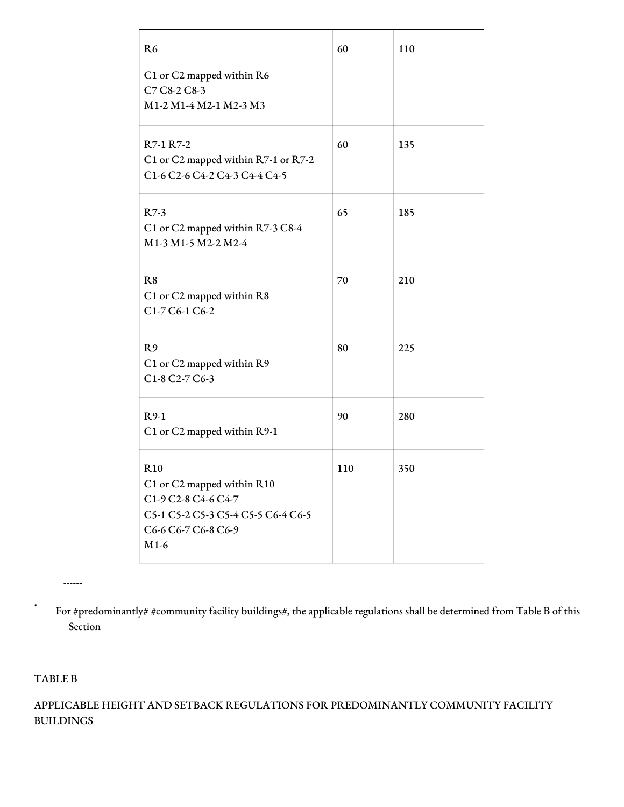| R <sub>6</sub>                                                                                                                         | 60  | 110 |
|----------------------------------------------------------------------------------------------------------------------------------------|-----|-----|
| C1 or C2 mapped within R6<br>C7 C8-2 C8-3<br>M1-2 M1-4 M2-1 M2-3 M3                                                                    |     |     |
| R7-1 R7-2<br>C1 or C2 mapped within R7-1 or R7-2<br>C1-6 C2-6 C4-2 C4-3 C4-4 C4-5                                                      | 60  | 135 |
| $R7-3$<br>C1 or C2 mapped within R7-3 C8-4<br>M1-3 M1-5 M2-2 M2-4                                                                      | 65  | 185 |
| R <sub>8</sub><br>C1 or C2 mapped within R8<br>C1-7 C6-1 C6-2                                                                          | 70  | 210 |
| R9<br>C1 or C2 mapped within R9<br>C1-8 C2-7 C6-3                                                                                      | 80  | 225 |
| $R9-1$<br>C1 or C2 mapped within R9-1                                                                                                  | 90  | 280 |
| <b>R10</b><br>C1 or C2 mapped within R10<br>C1-9 C2-8 C4-6 C4-7<br>C5-1 C5-2 C5-3 C5-4 C5-5 C6-4 C6-5<br>C6-6 C6-7 C6-8 C6-9<br>$M1-6$ | 110 | 350 |

\* For #predominantly# #community facility buildings#, the applicable regulations shall be determined from Table B of this Section

TABLE B

------

APPLICABLE HEIGHT AND SETBACK REGULATIONS FOR PREDOMINANTLY COMMUNITY FACILITY BUILDINGS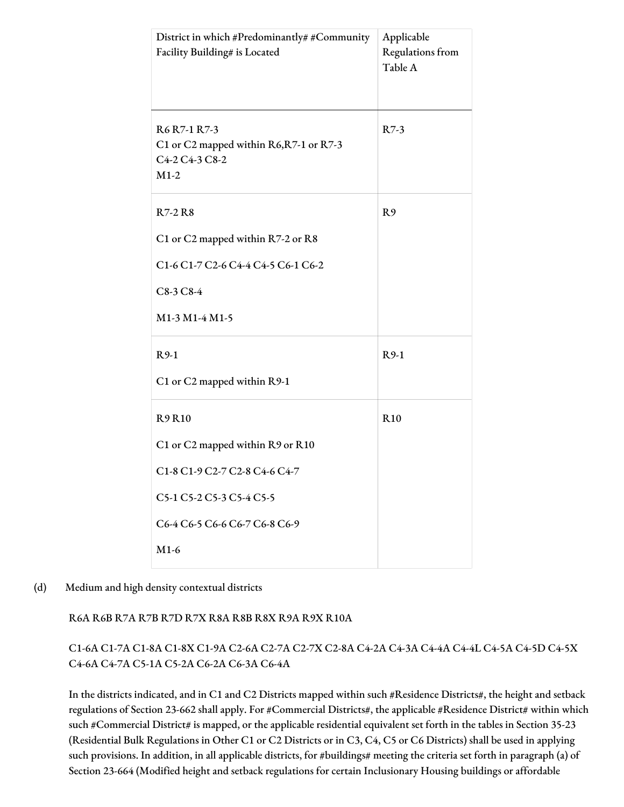| District in which #Predominantly# #Community<br>Facility Building# is Located       | Applicable<br>Regulations from<br>Table A |
|-------------------------------------------------------------------------------------|-------------------------------------------|
| R6 R7-1 R7-3<br>C1 or C2 mapped within R6, R7-1 or R7-3<br>C4-2 C4-3 C8-2<br>$M1-2$ | $R7-3$                                    |
| R7-2 R8                                                                             | R <sub>9</sub>                            |
| C1 or C2 mapped within R7-2 or R8                                                   |                                           |
| C1-6 C1-7 C2-6 C4-4 C4-5 C6-1 C6-2                                                  |                                           |
| $C8-3C8-4$                                                                          |                                           |
| M1-3 M1-4 M1-5                                                                      |                                           |
| $R9-1$                                                                              | $R9-1$                                    |
| C1 or C2 mapped within R9-1                                                         |                                           |
| <b>R9R10</b>                                                                        | R <sub>10</sub>                           |
| C1 or C2 mapped within R9 or R10                                                    |                                           |
| C1-8 C1-9 C2-7 C2-8 C4-6 C4-7                                                       |                                           |
| C5-1 C5-2 C5-3 C5-4 C5-5                                                            |                                           |
| C6-4 C6-5 C6-6 C6-7 C6-8 C6-9                                                       |                                           |
| $M1-6$                                                                              |                                           |

#### (d) Medium and high density contextual districts

R6A R6B R7A R7B R7D R7X R8A R8B R8X R9A R9X R10A

C1-6A C1-7A C1-8A C1-8X C1-9A C2-6A C2-7A C2-7X C2-8A C4-2A C4-3A C4-4A C4-4L C4-5A C4-5D C4-5X C4-6A C4-7A C5-1A C5-2A C6-2A C6-3A C6-4A

In the districts indicated, and in C1 and C2 Districts mapped within such #Residence Districts#, the height and setback regulations of Section 23-662 shall apply. For #Commercial Districts#, the applicable #Residence District# within which such #Commercial District# is mapped, or the applicable residential equivalent set forth in the tables in Section 35-23 (Residential Bulk Regulations in Other C1 or C2 Districts or in C3, C4, C5 or C6 Districts) shall be used in applying such provisions. In addition, in all applicable districts, for #buildings# meeting the criteria set forth in paragraph (a) of Section 23-664 (Modified height and setback regulations for certain Inclusionary Housing buildings or affordable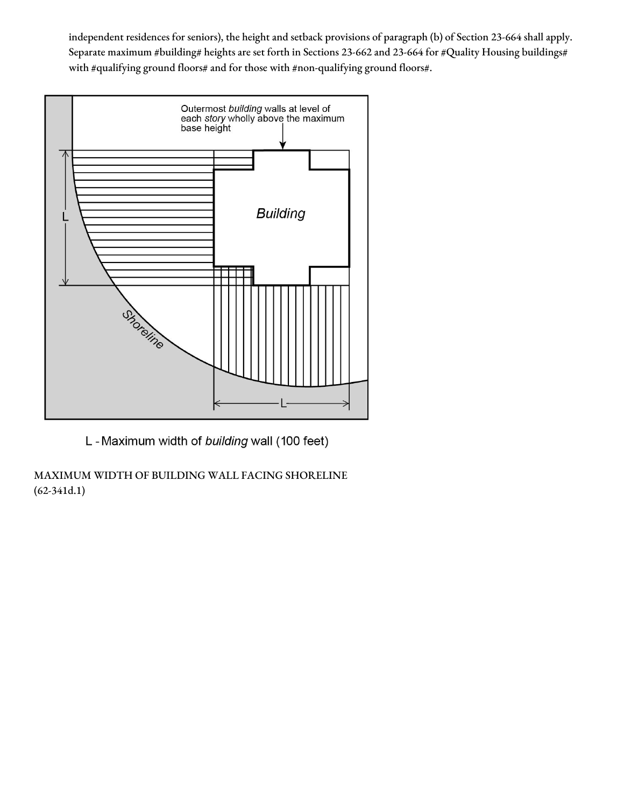independent residences for seniors), the height and setback provisions of paragraph (b) of Section 23-664 shall apply. Separate maximum #building# heights are set forth in Sections 23-662 and 23-664 for #Quality Housing buildings# with #qualifying ground floors# and for those with #non-qualifying ground floors#.



L - Maximum width of building wall (100 feet)

MAXIMUM WIDTH OF BUILDING WALL FACING SHORELINE (62-341d.1)